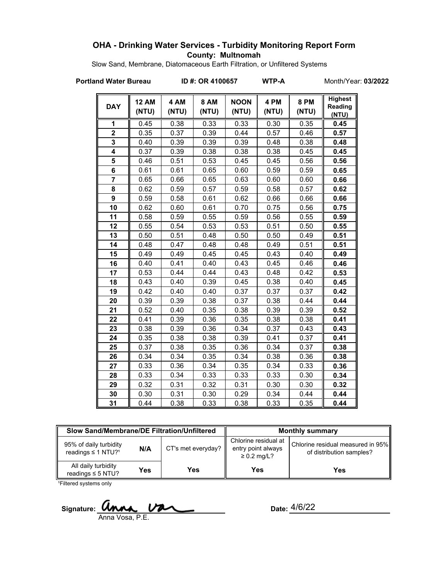## **OHA - Drinking Water Services - Turbidity Monitoring Report Form County: Multnomah**

Slow Sand, Membrane, Diatomaceous Earth Filtration, or Unfiltered Systems

**Portland Water Bureau ID #: OR 4100657 WTP-A** Month/Year: **03/2022**

| <b>DAY</b>     | <b>12 AM</b><br>(NTU) | 4 AM<br>(NTU) | <b>8 AM</b><br>(NTU) | <b>NOON</b><br>(NTU) | 4 PM<br>(NTU) | <b>8 PM</b><br>(NTU) | <b>Highest</b><br>Reading<br>(NTU) |
|----------------|-----------------------|---------------|----------------------|----------------------|---------------|----------------------|------------------------------------|
| 1              | 0.45                  | 0.38          | 0.33                 | 0.33                 | 0.30          | 0.35                 | 0.45                               |
| $\overline{2}$ | 0.35                  | 0.37          | 0.39                 | 0.44                 | 0.57          | 0.46                 | 0.57                               |
| 3              | 0.40                  | 0.39          | 0.39                 | 0.39                 | 0.48          | 0.38                 | 0.48                               |
| 4              | 0.37                  | 0.39          | 0.38                 | 0.38                 | 0.38          | 0.45                 | 0.45                               |
| 5              | 0.46                  | 0.51          | 0.53                 | 0.45                 | 0.45          | 0.56                 | 0.56                               |
| 6              | 0.61                  | 0.61          | 0.65                 | 0.60                 | 0.59          | 0.59                 | 0.65                               |
| $\overline{7}$ | 0.65                  | 0.66          | 0.65                 | 0.63                 | 0.60          | 0.60                 | 0.66                               |
| 8              | 0.62                  | 0.59          | 0.57                 | 0.59                 | 0.58          | 0.57                 | 0.62                               |
| 9              | 0.59                  | 0.58          | 0.61                 | 0.62                 | 0.66          | 0.66                 | 0.66                               |
| 10             | 0.62                  | 0.60          | 0.61                 | 0.70                 | 0.75          | 0.56                 | 0.75                               |
| 11             | 0.58                  | 0.59          | 0.55                 | 0.59                 | 0.56          | 0.55                 | 0.59                               |
| 12             | 0.55                  | 0.54          | 0.53                 | 0.53                 | 0.51          | 0.50                 | 0.55                               |
| 13             | 0.50                  | 0.51          | 0.48                 | 0.50                 | 0.50          | 0.49                 | 0.51                               |
| 14             | 0.48                  | 0.47          | 0.48                 | 0.48                 | 0.49          | 0.51                 | 0.51                               |
| 15             | 0.49                  | 0.49          | 0.45                 | 0.45                 | 0.43          | 0.40                 | 0.49                               |
| 16             | 0.40                  | 0.41          | 0.40                 | 0.43                 | 0.45          | 0.46                 | 0.46                               |
| 17             | 0.53                  | 0.44          | 0.44                 | 0.43                 | 0.48          | 0.42                 | 0.53                               |
| 18             | 0.43                  | 0.40          | 0.39                 | 0.45                 | 0.38          | 0.40                 | 0.45                               |
| 19             | 0.42                  | 0.40          | 0.40                 | 0.37                 | 0.37          | 0.37                 | 0.42                               |
| 20             | 0.39                  | 0.39          | 0.38                 | 0.37                 | 0.38          | 0.44                 | 0.44                               |
| 21             | 0.52                  | 0.40          | 0.35                 | 0.38                 | 0.39          | 0.39                 | 0.52                               |
| 22             | 0.41                  | 0.39          | 0.36                 | 0.35                 | 0.38          | 0.38                 | 0.41                               |
| 23             | 0.38                  | 0.39          | 0.36                 | 0.34                 | 0.37          | 0.43                 | 0.43                               |
| 24             | 0.35                  | 0.38          | 0.38                 | 0.39                 | 0.41          | 0.37                 | 0.41                               |
| 25             | 0.37                  | 0.38          | 0.35                 | 0.36                 | 0.34          | 0.37                 | 0.38                               |
| 26             | 0.34                  | 0.34          | 0.35                 | 0.34                 | 0.38          | 0.36                 | 0.38                               |
| 27             | 0.33                  | 0.36          | 0.34                 | 0.35                 | 0.34          | 0.33                 | 0.36                               |
| 28             | 0.33                  | 0.34          | 0.33                 | 0.33                 | 0.33          | 0.30                 | 0.34                               |
| 29             | 0.32                  | 0.31          | 0.32                 | 0.31                 | 0.30          | 0.30                 | 0.32                               |
| 30             | 0.30                  | 0.31          | 0.30                 | 0.29                 | 0.34          | 0.44                 | 0.44                               |
| 31             | 0.44                  | 0.38          | 0.33                 | 0.38                 | 0.33          | 0.35                 | 0.44                               |

| Slow Sand/Membrane/DE Filtration/Unfiltered                          |     |                    | <b>Monthly summary</b>                                         |                                                               |  |
|----------------------------------------------------------------------|-----|--------------------|----------------------------------------------------------------|---------------------------------------------------------------|--|
| 95% of daily turbidity<br>N/A<br>readings $\leq$ 1 NTU? <sup>1</sup> |     | CT's met everyday? | Chlorine residual at<br>entry point always<br>$\geq 0.2$ mg/L? | Chlorine residual measured in 95%<br>of distribution samples? |  |
| All daily turbidity<br>readings $\leq$ 5 NTU?                        | Yes | Yes                | Yes                                                            | Yes                                                           |  |

<sup>1</sup>Filtered systems only

Signature: **WINA, VAL** Date: Anna Vosa, P.E.

Date:  $\frac{4}{6}/22$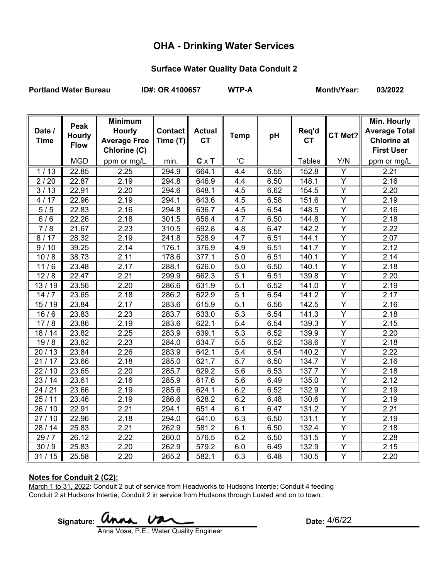# **OHA - Drinking Water Services**

# **Surface Water Quality Data Conduit 2**

Portland Water Bureau **ID#: OR 4100657** WTP-A Month/Year: 03/2022

|             | Peak          | <b>Minimum</b>      |          |               |                  |      |               |                | Min. Hourly          |
|-------------|---------------|---------------------|----------|---------------|------------------|------|---------------|----------------|----------------------|
| Date /      | <b>Hourly</b> | <b>Hourly</b>       | Contact  | <b>Actual</b> | <b>Temp</b>      | pH   | Req'd         | CT Met?        | <b>Average Total</b> |
| <b>Time</b> | <b>Flow</b>   | <b>Average Free</b> | Time (T) | <b>CT</b>     |                  |      | <b>CT</b>     |                | <b>Chlorine at</b>   |
|             |               | Chlorine (C)        |          |               |                  |      |               |                | <b>First User</b>    |
|             | <b>MGD</b>    | ppm or mg/L         | min.     | $C \times T$  | $^{\circ}C$      |      | <b>Tables</b> | Y/N            | ppm or mg/L          |
| 1/13        | 22.85         | 2.25                | 294.9    | 664.1         | 4.4              | 6.55 | 152.8         | Y              | 2.21                 |
| 2/20        | 22.87         | 2.19                | 294.8    | 646.9         | 4.4              | 6.50 | 148.1         | Y              | 2.16                 |
| 3/13        | 22.91         | 2.20                | 294.6    | 648.1         | 4.5              | 6.62 | 154.5         | Y              | 2.20                 |
| 4/17        | 22.96         | 2.19                | 294.1    | 643.6         | 4.5              | 6.58 | 151.6         | $\overline{Y}$ | 2.19                 |
| 5/5         | 22.83         | 2.16                | 294.8    | 636.7         | 4.5              | 6.54 | 148.5         | $\overline{Y}$ | 2.16                 |
| 6/6         | 22.26         | 2.18                | 301.5    | 656.4         | 4.7              | 6.50 | 144.8         | Υ              | 2.18                 |
| 7/8         | 21.67         | 2.23                | 310.5    | 692.8         | 4.8              | 6.47 | 142.2         | Υ              | 2.22                 |
| 8/17        | 28.32         | 2.19                | 241.8    | 528.9         | 4.7              | 6.51 | 144.1         | $\overline{Y}$ | 2.07                 |
| 9/10        | 39.25         | 2.14                | 176.1    | 376.9         | 4.9              | 6.51 | 141.7         | Y              | 2.12                 |
| 10/8        | 38.73         | 2.11                | 178.6    | 377.1         | 5.0              | 6.51 | 140.1         | $\overline{Y}$ | 2.14                 |
| 11/6        | 23.48         | 2.17                | 288.1    | 626.0         | 5.0              | 6.50 | 140.1         | $\overline{Y}$ | 2.18                 |
| 12/8        | 22.47         | 2.21                | 299.9    | 662.3         | 5.1              | 6.51 | 139.8         | $\overline{Y}$ | 2.20                 |
| 13/19       | 23.56         | 2.20                | 286.6    | 631.9         | 5.1              | 6.52 | 141.0         | Y              | 2.19                 |
| 14/7        | 23.65         | 2.18                | 286.2    | 622.9         | 5.1              | 6.54 | 141.2         | $\overline{Y}$ | 2.17                 |
| 15/19       | 23.84         | 2.17                | 283.6    | 615.9         | 5.1              | 6.56 | 142.5         | Y              | 2.16                 |
| 16/6        | 23.83         | 2.23                | 283.7    | 633.0         | 5.3              | 6.54 | 141.3         | $\overline{Y}$ | 2.18                 |
| 17/8        | 23.86         | 2.19                | 283.6    | 622.1         | 5.4              | 6.54 | 139.3         | Y              | 2.15                 |
| 18/14       | 23.82         | 2.25                | 283.9    | 639.1         | 5.3              | 6.52 | 139.9         | $\overline{Y}$ | 2.20                 |
| 19/8        | 23.82         | 2.23                | 284.0    | 634.7         | 5.5              | 6.52 | 138.6         | Y              | 2.18                 |
| 20/13       | 23.84         | 2.26                | 283.9    | 642.1         | 5.4              | 6.54 | 140.2         | $\overline{Y}$ | 2.22                 |
| 21/17       | 23.66         | 2.18                | 285.0    | 621.7         | $\overline{5.7}$ | 6.50 | 134.7         | $\overline{Y}$ | 2.16                 |
| 22/10       | 23.65         | 2.20                | 285.7    | 629.2         | 5.6              | 6.53 | 137.7         | Y              | 2.18                 |
| 23/14       | 23.61         | 2.16                | 285.9    | 617.6         | 5.6              | 6.49 | 135.0         | Υ              | 2.12                 |
| 24/21       | 23.66         | 2.19                | 285.6    | 624.1         | 6.2              | 6.52 | 132.9         | Y              | 2.19                 |
| 25/11       | 23.46         | 2.19                | 286.6    | 628.2         | 6.2              | 6.48 | 130.6         | $\overline{Y}$ | 2.19                 |
| 26 / 10     | 22.91         | 2.21                | 294.1    | 651.4         | 6.1              | 6.47 | 131.2         | $\overline{Y}$ | 2.21                 |
| 27/10       | 22.96         | 2.18                | 294.0    | 641.0         | 6.3              | 6.50 | 131.1         | $\overline{Y}$ | 2.19                 |
| 28 / 14     | 25.83         | 2.21                | 262.9    | 581.2         | 6.1              | 6.50 | 132.4         | $\overline{Y}$ | 2.18                 |
| 29/7        | 26.12         | 2.22                | 260.0    | 576.5         | 6.2              | 6.50 | 131.5         | Y              | 2.28                 |
| 30/9        | 25.83         | 2.20                | 262.9    | 579.2         | 6.0              | 6.49 | 132.9         | $\overline{Y}$ | 2.15                 |
| 31/15       | 25.58         | 2.20                | 265.2    | 582.1         | 6.3              | 6.48 | 130.5         | Y              | 2.20                 |

#### **Notes for Conduit 2 (C2):**

March 1 to 31, 2022: Conduit 2 out of service from Headworks to Hudsons Intertie; Conduit 4 feeding Conduit 2 at Hudsons Intertie, Conduit 2 in service from Hudsons through Lusted and on to town.

Signature: **WIMA.**  $\overline{V}$ 

Anna Vosa, P.E., Water Quality Engineer

Date: 4/6/22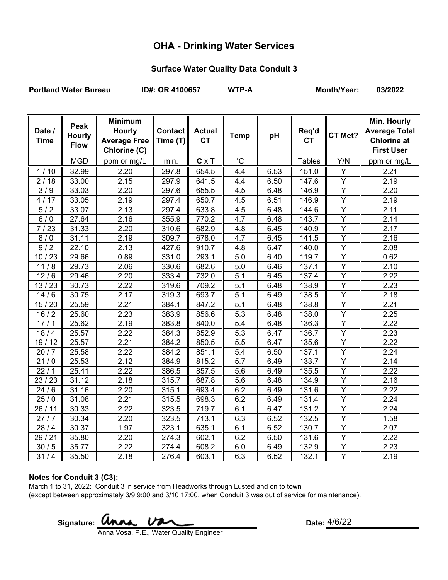# **OHA - Drinking Water Services**

## **Surface Water Quality Data Conduit 3**

Portland Water Bureau **ID#: OR 4100657** WTP-A Month/Year: 03/2022

|             | Peak          | <b>Minimum</b>      |                |               |                  |      |                    |                | Min. Hourly          |
|-------------|---------------|---------------------|----------------|---------------|------------------|------|--------------------|----------------|----------------------|
| Date /      | <b>Hourly</b> | <b>Hourly</b>       | <b>Contact</b> | <b>Actual</b> | <b>Temp</b>      | pH   | Req'd              | CT Met?        | <b>Average Total</b> |
| <b>Time</b> | <b>Flow</b>   | <b>Average Free</b> | Time $(T)$     | <b>CT</b>     |                  |      | <b>CT</b>          |                | <b>Chlorine at</b>   |
|             |               | Chlorine (C)        |                |               |                  |      |                    |                | <b>First User</b>    |
|             | <b>MGD</b>    | ppm or mg/L         | min.           | $C \times T$  | $^{\circ}$ C     |      | <b>Tables</b>      | Y/N            | ppm or mg/L          |
| 1/10        | 32.99         | 2.20                | 297.8          | 654.5         | 4.4              | 6.53 | 151.0              | Y              | 2.21                 |
| 2/18        | 33.00         | 2.15                | 297.9          | 641.5         | 4.4              | 6.50 | 147.6              | $\overline{Y}$ | 2.19                 |
| 3/9         | 33.03         | 2.20                | 297.6          | 655.5         | 4.5              | 6.48 | 146.9              | Y              | 2.20                 |
| 4/17        | 33.05         | 2.19                | 297.4          | 650.7         | 4.5              | 6.51 | 146.9              | $\overline{Y}$ | 2.19                 |
| 5/2         | 33.07         | 2.13                | 297.4          | 633.8         | 4.5              | 6.48 | 144.6              | $\overline{Y}$ | 2.11                 |
| 6/0         | 27.64         | 2.16                | 355.9          | 770.2         | 4.7              | 6.48 | 143.7              | $\overline{Y}$ | 2.14                 |
| 7/23        | 31.33         | 2.20                | 310.6          | 682.9         | 4.8              | 6.45 | 140.9              | Υ              | 2.17                 |
| 8/0         | 31.11         | 2.19                | 309.7          | 678.0         | 4.7              | 6.45 | 141.5              | Y              | 2.16                 |
| 9/2         | 22.10         | 2.13                | 427.6          | 910.7         | 4.8              | 6.47 | $\overline{140.0}$ | $\overline{Y}$ | 2.08                 |
| 10/23       | 29.66         | 0.89                | 331.0          | 293.1         | 5.0              | 6.40 | 119.7              | Y              | 0.62                 |
| 11/8        | 29.73         | 2.06                | 330.6          | 682.6         | $\overline{5.0}$ | 6.46 | 137.1              | $\overline{Y}$ | 2.10                 |
| 12/6        | 29.46         | 2.20                | 333.4          | 732.0         | 5.1              | 6.45 | 137.4              | Y              | 2.22                 |
| 13/23       | 30.73         | 2.22                | 319.6          | 709.2         | 5.1              | 6.48 | 138.9              | $\overline{Y}$ | 2.23                 |
| 14/6        | 30.75         | 2.17                | 319.3          | 693.7         | $\overline{5.1}$ | 6.49 | 138.5              | $\overline{Y}$ | 2.18                 |
| 15/20       | 25.59         | 2.21                | 384.1          | 847.2         | 5.1              | 6.48 | 138.8              | Y              | 2.21                 |
| 16/2        | 25.60         | 2.23                | 383.9          | 856.6         | 5.3              | 6.48 | 138.0              | $\overline{Y}$ | 2.25                 |
| 17/1        | 25.62         | 2.19                | 383.8          | 840.0         | 5.4              | 6.48 | 136.3              | $\overline{Y}$ | 2.22                 |
| 18/4        | 25.57         | 2.22                | 384.3          | 852.9         | 5.3              | 6.47 | 136.7              | $\overline{Y}$ | 2.23                 |
| 19/12       | 25.57         | 2.21                | 384.2          | 850.5         | 5.5              | 6.47 | 135.6              | $\overline{Y}$ | 2.22                 |
| 20/7        | 25.58         | 2.22                | 384.2          | 851.1         | 5.4              | 6.50 | 137.1              | $\overline{Y}$ | 2.24                 |
| 21/0        | 25.53         | 2.12                | 384.9          | 815.2         | 5.7              | 6.49 | 133.7              | $\overline{Y}$ | 2.14                 |
| 22/1        | 25.41         | 2.22                | 386.5          | 857.5         | 5.6              | 6.49 | 135.5              | Y              | 2.22                 |
| 23/23       | 31.12         | 2.18                | 315.7          | 687.8         | 5.6              | 6.48 | 134.9              | Y              | 2.16                 |
| 24/6        | 31.16         | 2.20                | 315.1          | 693.4         | 6.2              | 6.49 | 131.6              | Y              | 2.22                 |
| 25/0        | 31.08         | 2.21                | 315.5          | 698.3         | 6.2              | 6.49 | 131.4              | $\overline{Y}$ | 2.24                 |
| 26/11       | 30.33         | 2.22                | 323.5          | 719.7         | 6.1              | 6.47 | 131.2              | Y              | 2.24                 |
| 27/7        | 30.34         | 2.20                | 323.5          | 713.1         | 6.3              | 6.52 | 132.5              | $\overline{Y}$ | 1.58                 |
| 28/4        | 30.37         | 1.97                | 323.1          | 635.1         | 6.1              | 6.52 | 130.7              | Y              | 2.07                 |
| 29/21       | 35.80         | 2.20                | 274.3          | 602.1         | 6.2              | 6.50 | 131.6              | $\overline{Y}$ | 2.22                 |
| 30/5        | 35.77         | 2.22                | 274.4          | 608.2         | 6.0              | 6.49 | 132.9              | Y              | 2.23                 |
| 31/4        | 35.50         | 2.18                | 276.4          | 603.1         | 6.3              | 6.52 | 132.1              | Y              | 2.19                 |

#### **Notes for Conduit 3 (C3):**

March 1 to 31, 2022: Conduit 3 in service from Headworks through Lusted and on to town (except between approximately 3/9 9:00 and 3/10 17:00, when Conduit 3 was out of service for maintenance).

Signature: **UMMA VALL Example 2008** Date:

Date:  $4/6/22$ 

Anna Vosa, P.E., Water Quality Engineer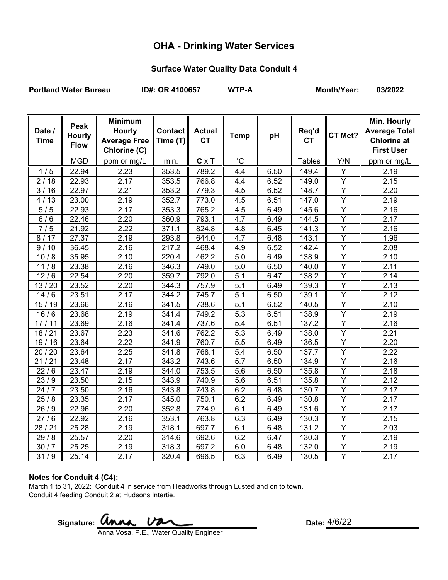# **OHA - Drinking Water Services**

## **Surface Water Quality Data Conduit 4**

Portland Water Bureau **ID#: OR 4100657** WTP-A Month/Year: 03/2022

|                       | Peak          | <b>Minimum</b>                       |                            |                            |             |      |                    |                | Min. Hourly                                |
|-----------------------|---------------|--------------------------------------|----------------------------|----------------------------|-------------|------|--------------------|----------------|--------------------------------------------|
| Date /<br><b>Time</b> | <b>Hourly</b> | <b>Hourly</b><br><b>Average Free</b> | <b>Contact</b><br>Time (T) | <b>Actual</b><br><b>CT</b> | <b>Temp</b> | pH   | Req'd<br><b>CT</b> | CT Met?        | <b>Average Total</b><br><b>Chlorine at</b> |
|                       | <b>Flow</b>   | Chlorine (C)                         |                            |                            |             |      |                    |                | <b>First User</b>                          |
|                       | <b>MGD</b>    |                                      |                            |                            | $^{\circ}C$ |      |                    |                |                                            |
|                       |               | ppm or mg/L                          | min.                       | $C \times T$               |             |      | <b>Tables</b>      | Y/N            | ppm or mg/L                                |
| 1/5                   | 22.94         | 2.23                                 | 353.5                      | 789.2                      | 4.4         | 6.50 | 149.4              | Y              | 2.19                                       |
| 2/18                  | 22.93         | 2.17                                 | 353.5                      | 766.8                      | 4.4         | 6.52 | 149.0              | $\overline{Y}$ | 2.15                                       |
| 3/16                  | 22.97         | 2.21                                 | 353.2                      | 779.3                      | 4.5         | 6.52 | 148.7              | Y              | 2.20                                       |
| 4/13                  | 23.00         | 2.19                                 | 352.7                      | 773.0                      | 4.5         | 6.51 | 147.0              | $\overline{Y}$ | 2.19                                       |
| 5/5                   | 22.93         | 2.17                                 | 353.3                      | 765.2                      | 4.5         | 6.49 | 145.6              | $\overline{Y}$ | 2.16                                       |
| 6/6                   | 22.46         | 2.20                                 | 360.9                      | 793.1                      | 4.7         | 6.49 | 144.5              | Υ              | 2.17                                       |
| 7/5                   | 21.92         | 2.22                                 | 371.1                      | 824.8                      | 4.8         | 6.45 | 141.3              | $\overline{Y}$ | 2.16                                       |
| 8/17                  | 27.37         | 2.19                                 | 293.8                      | 644.0                      | 4.7         | 6.48 | 143.1              | Y              | 1.96                                       |
| 9/10                  | 36.45         | 2.16                                 | $\overline{2}$ 17.2        | 468.4                      | 4.9         | 6.52 | 142.4              | Y              | 2.08                                       |
| 10/8                  | 35.95         | 2.10                                 | 220.4                      | 462.2                      | 5.0         | 6.49 | 138.9              | Y              | 2.10                                       |
| 11/8                  | 23.38         | 2.16                                 | 346.3                      | 749.0                      | 5.0         | 6.50 | 140.0              | $\overline{Y}$ | 2.11                                       |
| 12/6                  | 22.54         | 2.20                                 | 359.7                      | 792.0                      | 5.1         | 6.47 | 138.2              | Y              | $\overline{2}.14$                          |
| 13/20                 | 23.52         | 2.20                                 | 344.3                      | 757.9                      | 5.1         | 6.49 | 139.3              | $\overline{Y}$ | 2.13                                       |
| 14/6                  | 23.51         | 2.17                                 | 344.2                      | 745.7                      | 5.1         | 6.50 | 139.1              | $\overline{Y}$ | 2.12                                       |
| 15/19                 | 23.66         | 2.16                                 | 341.5                      | 738.6                      | 5.1         | 6.52 | 140.5              | $\overline{Y}$ | 2.10                                       |
| 16/6                  | 23.68         | 2.19                                 | 341.4                      | 749.2                      | 5.3         | 6.51 | 138.9              | $\overline{Y}$ | 2.19                                       |
| 17/11                 | 23.69         | 2.16                                 | 341.4                      | 737.6                      | 5.4         | 6.51 | 137.2              | Y              | 2.16                                       |
| 18/21                 | 23.67         | 2.23                                 | 341.6                      | 762.2                      | 5.3         | 6.49 | 138.0              | $\overline{Y}$ | 2.21                                       |
| 19/16                 | 23.64         | 2.22                                 | 341.9                      | 760.7                      | 5.5         | 6.49 | 136.5              | Y              | 2.20                                       |
| 20 / 20               | 23.64         | 2.25                                 | 341.8                      | 768.1                      | 5.4         | 6.50 | 137.7              | $\overline{Y}$ | 2.22                                       |
| 21/21                 | 23.48         | 2.17                                 | 343.2                      | 743.6                      | 5.7         | 6.50 | 134.9              | $\overline{Y}$ | 2.16                                       |
| 22/6                  | 23.47         | 2.19                                 | 344.0                      | 753.5                      | 5.6         | 6.50 | 135.8              | Y              | 2.18                                       |
| 23/9                  | 23.50         | 2.15                                 | 343.9                      | 740.9                      | 5.6         | 6.51 | 135.8              | Υ              | 2.12                                       |
| 24/7                  | 23.50         | 2.16                                 | 343.8                      | 743.8                      | 6.2         | 6.48 | 130.7              | $\overline{Y}$ | 2.17                                       |
| $\frac{25}{8}$        | 23.35         | 2.17                                 | 345.0                      | 750.1                      | 6.2         | 6.49 | 130.8              | Y              | 2.17                                       |
| 26/9                  | 22.96         | 2.20                                 | 352.8                      | 774.9                      | 6.1         | 6.49 | 131.6              | Y              | 2.17                                       |
| 27/6                  | 22.92         | 2.16                                 | 353.1                      | 763.8                      | 6.3         | 6.49 | 130.3              | $\overline{Y}$ | 2.15                                       |
| 28/21                 | 25.28         | 2.19                                 | 318.1                      | 697.7                      | 6.1         | 6.48 | 131.2              | $\overline{Y}$ | 2.03                                       |
| 29/8                  | 25.57         | 2.20                                 | 314.6                      | 692.6                      | 6.2         | 6.47 | 130.3              | Y              | 2.19                                       |
| 30/7                  | 25.25         | 2.19                                 | 318.3                      | 697.2                      | 6.0         | 6.48 | 132.0              | Y              | 2.19                                       |
| 31/9                  | 25.14         | 2.17                                 | 320.4                      | 696.5                      | 6.3         | 6.49 | 130.5              | Y              | 2.17                                       |

#### **Notes for Conduit 4 (C4):**

March 1 to 31, 2022: Conduit 4 in service from Headworks through Lusted and on to town. Conduit 4 feeding Conduit 2 at Hudsons Intertie.

Signature: **UNAA Date:**<br> **Date:** 

Date:  $4/6/22$ 

Anna Vosa, P.E., Water Quality Engineer